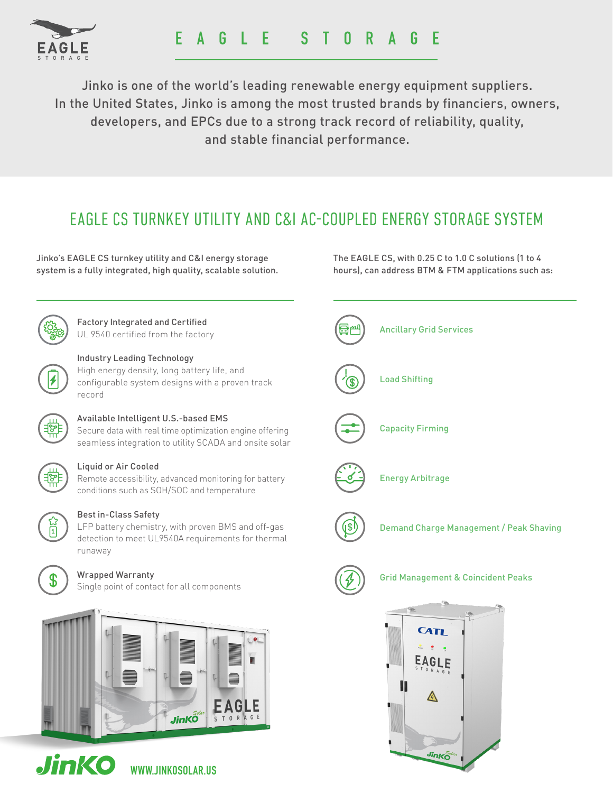

Jinko is one of the world's leading renewable energy equipment suppliers. In the United States, Jinko is among the most trusted brands by financiers, owners, developers, and EPCs due to a strong track record of reliability, quality, and stable financial performance.

## EAGLE CS TURNKEY UTILITY AND C&I AC-COUPLED ENERGY STORAGE SYSTEM

Jinko's EAGLE CS turnkey utility and C&I energy storage system is a fully integrated, high quality, scalable solution.

Factory Integrated and Certified UL 9540 certified from the factory



### Industry Leading Technology

High energy density, long battery life, and configurable system designs with a proven track record



### Available Intelligent U.S.-based EMS

Secure data with real time optimization engine offering seamless integration to utility SCADA and onsite solar



#### Liquid or Air Cooled

Remote accessibility, advanced monitoring for battery conditions such as SOH/SOC and temperature



### Best in-Class Safety

LFP battery chemistry, with proven BMS and off-gas detection to meet UL9540A requirements for thermal runaway



#### Wrapped Warranty

Single point of contact for all components





WWW.JINKOSOLAR.US

The EAGLE CS, with 0.25 C to 1.0 C solutions (1 to 4 hours), can address BTM & FTM applications such as:



Jinko